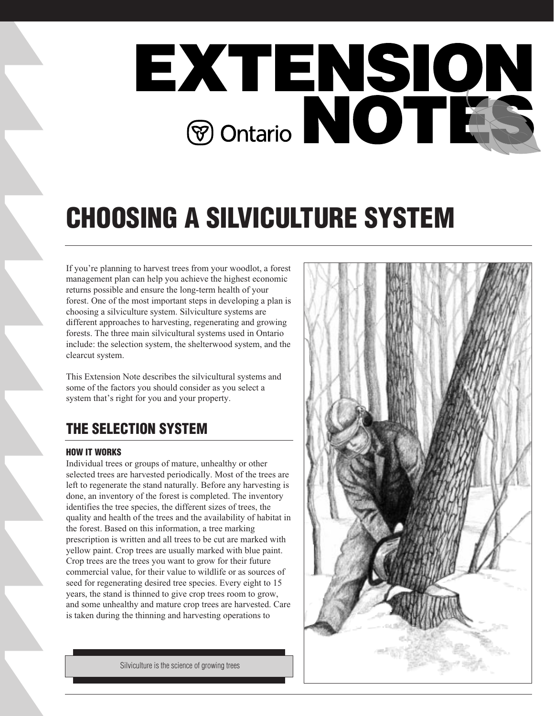

# **CHOOSING A SILVICULTURE SYSTEM**

If you're planning to harvest trees from your woodlot, a forest management plan can help you achieve the highest economic returns possible and ensure the long-term health of your forest. One of the most important steps in developing a plan is choosing a silviculture system. Silviculture systems are different approaches to harvesting, regenerating and growing forests. The three main silvicultural systems used in Ontario include: the selection system, the shelterwood system, and the clearcut system.

This Extension Note describes the silvicultural systems and some of the factors you should consider as you select a system that's right for you and your property.

# **THE SELECTION SYSTEM**

### **HOW IT WORKS**

Individual trees or groups of mature, unhealthy or other selected trees are harvested periodically. Most of the trees are left to regenerate the stand naturally. Before any harvesting is done, an inventory of the forest is completed. The inventory identifies the tree species, the different sizes of trees, the quality and health of the trees and the availability of habitat in the forest. Based on this information, a tree marking prescription is written and all trees to be cut are marked with yellow paint. Crop trees are usually marked with blue paint. Crop trees are the trees you want to grow for their future commercial value, for their value to wildlife or as sources of seed for regenerating desired tree species. Every eight to 15 years, the stand is thinned to give crop trees room to grow, and some unhealthy and mature crop trees are harvested. Care is taken during the thinning and harvesting operations to



Silviculture is the science of growing trees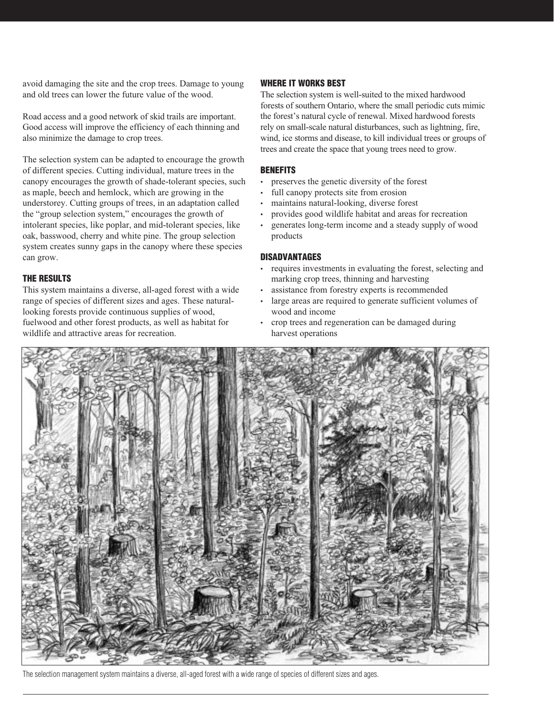avoid damaging the site and the crop trees. Damage to young and old trees can lower the future value of the wood.

Road access and a good network of skid trails are important. Good access will improve the efficiency of each thinning and also minimize the damage to crop trees.

The selection system can be adapted to encourage the growth of different species. Cutting individual, mature trees in the canopy encourages the growth of shade-tolerant species, such as maple, beech and hemlock, which are growing in the understorey. Cutting groups of trees, in an adaptation called the "group selection system," encourages the growth of intolerant species, like poplar, and mid-tolerant species, like oak, basswood, cherry and white pine. The group selection system creates sunny gaps in the canopy where these species can grow.

### **THE RESULTS**

This system maintains a diverse, all-aged forest with a wide range of species of different sizes and ages. These naturallooking forests provide continuous supplies of wood, fuelwood and other forest products, as well as habitat for wildlife and attractive areas for recreation.

### **WHERE IT WORKS BEST**

The selection system is well-suited to the mixed hardwood forests of southern Ontario, where the small periodic cuts mimic the forest's natural cycle of renewal. Mixed hardwood forests rely on small-scale natural disturbances, such as lightning, fire, wind, ice storms and disease, to kill individual trees or groups of trees and create the space that young trees need to grow.

### **BENEFITS**

- preserves the genetic diversity of the forest
- full canopy protects site from erosion
- maintains natural-looking, diverse forest
- provides good wildlife habitat and areas for recreation
- generates long-term income and a steady supply of wood products

### **DISADVANTAGES**

- requires investments in evaluating the forest, selecting and marking crop trees, thinning and harvesting
- assistance from forestry experts is recommended
- large areas are required to generate sufficient volumes of wood and income
- crop trees and regeneration can be damaged during harvest operations



The selection management system maintains a diverse, all-aged forest with a wide range of species of different sizes and ages.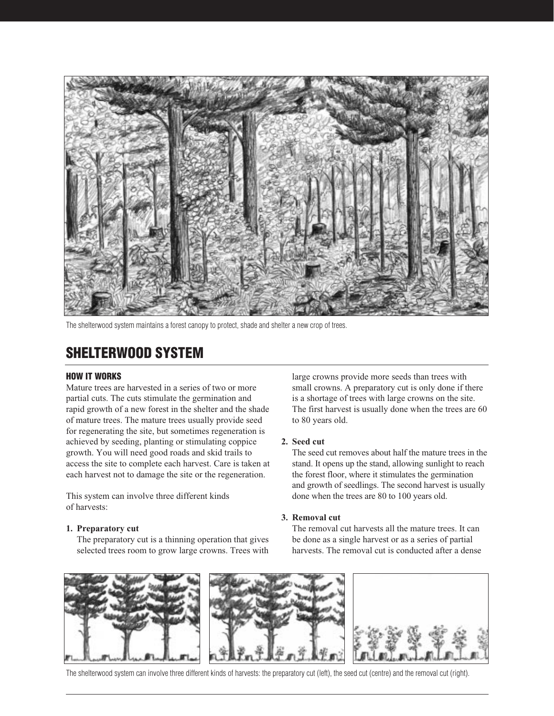

The shelterwood system maintains a forest canopy to protect, shade and shelter a new crop of trees.

## **SHELTERWOOD SYSTEM**

### **HOW IT WORKS**

Mature trees are harvested in a series of two or more partial cuts. The cuts stimulate the germination and rapid growth of a new forest in the shelter and the shade of mature trees. The mature trees usually provide seed for regenerating the site, but sometimes regeneration is achieved by seeding, planting or stimulating coppice growth. You will need good roads and skid trails to access the site to complete each harvest. Care is taken at each harvest not to damage the site or the regeneration.

This system can involve three different kinds of harvests:

#### **1. Preparatory cut**

The preparatory cut is a thinning operation that gives selected trees room to grow large crowns. Trees with large crowns provide more seeds than trees with small crowns. A preparatory cut is only done if there is a shortage of trees with large crowns on the site. The first harvest is usually done when the trees are 60 to 80 years old.

### **2. Seed cut**

The seed cut removes about half the mature trees in the stand. It opens up the stand, allowing sunlight to reach the forest floor, where it stimulates the germination and growth of seedlings. The second harvest is usually done when the trees are 80 to 100 years old.

#### **3. Removal cut**

The removal cut harvests all the mature trees. It can be done as a single harvest or as a series of partial harvests. The removal cut is conducted after a dense



The shelterwood system can involve three different kinds of harvests: the preparatory cut (left), the seed cut (centre) and the removal cut (right).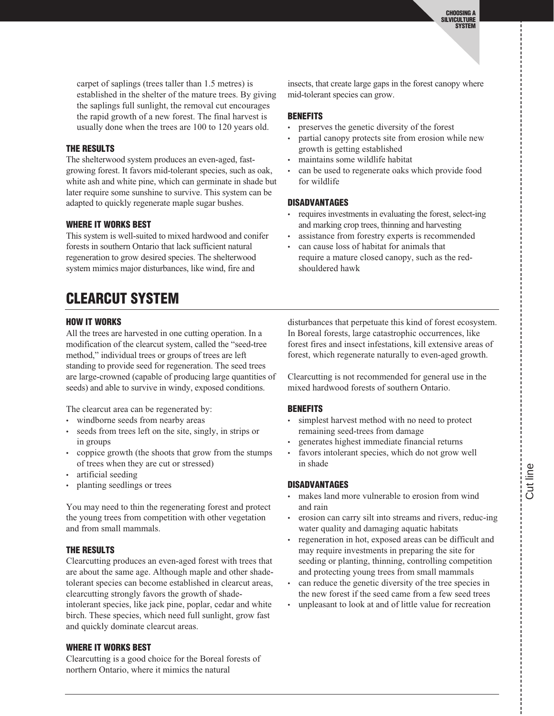carpet of saplings (trees taller than 1.5 metres) is established in the shelter of the mature trees. By giving the saplings full sunlight, the removal cut encourages the rapid growth of a new forest. The final harvest is usually done when the trees are 100 to 120 years old.

### **THE RESULTS**

The shelterwood system produces an even-aged, fastgrowing forest. It favors mid-tolerant species, such as oak, white ash and white pine, which can germinate in shade but later require some sunshine to survive. This system can be adapted to quickly regenerate maple sugar bushes.

### **WHERE IT WORKS BEST**

This system is well-suited to mixed hardwood and conifer forests in southern Ontario that lack sufficient natural regeneration to grow desired species. The shelterwood system mimics major disturbances, like wind, fire and

insects, that create large gaps in the forest canopy where mid-tolerant species can grow.

### **BENEFITS**

- preserves the genetic diversity of the forest
- partial canopy protects site from erosion while new growth is getting established
- maintains some wildlife habitat
- can be used to regenerate oaks which provide food for wildlife

### **DISADVANTAGES**

- requires investments in evaluating the forest, select-ing and marking crop trees, thinning and harvesting
- assistance from forestry experts is recommended • can cause loss of habitat for animals that
- require a mature closed canopy, such as the redshouldered hawk

# **CLEARCUT SYSTEM**

### **HOW IT WORKS**

All the trees are harvested in one cutting operation. In a modification of the clearcut system, called the "seed-tree method," individual trees or groups of trees are left standing to provide seed for regeneration. The seed trees are large-crowned (capable of producing large quantities of seeds) and able to survive in windy, exposed conditions.

The clearcut area can be regenerated by:

- windborne seeds from nearby areas
- seeds from trees left on the site, singly, in strips or in groups
- coppice growth (the shoots that grow from the stumps of trees when they are cut or stressed)
- artificial seeding
- planting seedlings or trees

You may need to thin the regenerating forest and protect the young trees from competition with other vegetation and from small mammals.

### **THE RESULTS**

Clearcutting produces an even-aged forest with trees that are about the same age. Although maple and other shadetolerant species can become established in clearcut areas, clearcutting strongly favors the growth of shadeintolerant species, like jack pine, poplar, cedar and white birch. These species, which need full sunlight, grow fast and quickly dominate clearcut areas.

### **WHERE IT WORKS BEST**

Clearcutting is a good choice for the Boreal forests of northern Ontario, where it mimics the natural

disturbances that perpetuate this kind of forest ecosystem. In Boreal forests, large catastrophic occurrences, like forest fires and insect infestations, kill extensive areas of forest, which regenerate naturally to even-aged growth.

Clearcutting is not recommended for general use in the mixed hardwood forests of southern Ontario.

### **BENEFITS**

- simplest harvest method with no need to protect remaining seed-trees from damage
- generates highest immediate financial returns
- favors intolerant species, which do not grow well in shade

### **DISADVANTAGES**

- makes land more vulnerable to erosion from wind and rain
- erosion can carry silt into streams and rivers, reduc-ing water quality and damaging aquatic habitats
- regeneration in hot, exposed areas can be difficult and may require investments in preparing the site for seeding or planting, thinning, controlling competition and protecting young trees from small mammals
- can reduce the genetic diversity of the tree species in the new forest if the seed came from a few seed trees
- unpleasant to look at and of little value for recreation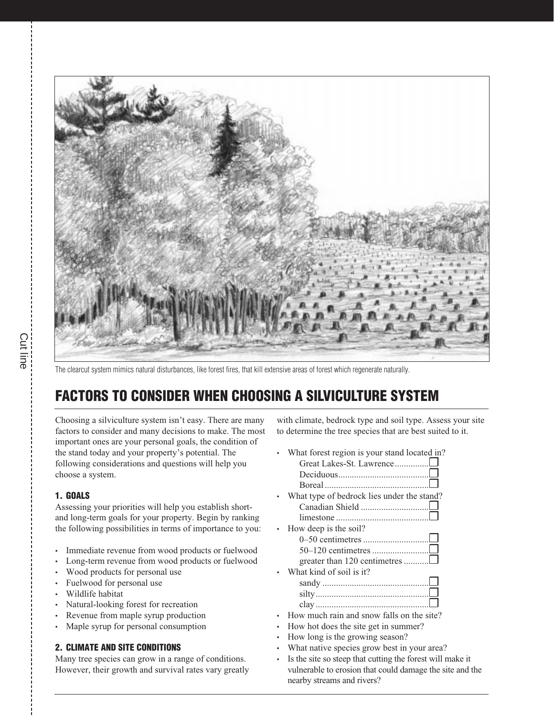

The clearcut system mimics natural disturbances, like forest fires, that kill extensive areas of forest which regenerate naturally.

# **FACTORS TO CONSIDER WHEN CHOOSING A SILVICULTURE SYSTEM**

Choosing a silviculture system isn't easy. There are many factors to consider and many decisions to make. The most important ones are your personal goals, the condition of the stand today and your property's potential. The following considerations and questions will help you choose a system.

### **1. GOALS**

Assessing your priorities will help you establish shortand long-term goals for your property. Begin by ranking the following possibilities in terms of importance to you:

- Immediate revenue from wood products or fuelwood
- Long-term revenue from wood products or fuelwood
- Wood products for personal use
- Fuelwood for personal use
- Wildlife habitat
- Natural-looking forest for recreation
- Revenue from maple syrup production
- Maple syrup for personal consumption

### **2. CLIMATE AND SITE CONDITIONS**

Many tree species can grow in a range of conditions. However, their growth and survival rates vary greatly with climate, bedrock type and soil type. Assess your site to determine the tree species that are best suited to it.

- What forest region is your stand located in? Great Lakes-St. Lawrence...............❒
- Deciduous........................................❒ Boreal..............................................❒ What type of bedrock lies under the stand? Canadian Shield ..............................❒ limestone .........................................❒ • How deep is the soil? 0–50 centimetres.............................❒ 50–120 centimetres .........................□ greater than 120 centimetres ...........<del></del>□ What kind of soil is it?
- sandy ...............................................❒ silty..................................................❒ clay ..................................................❒
- How much rain and snow falls on the site?
- How hot does the site get in summer?
- How long is the growing season?
- What native species grow best in your area?
- Is the site so steep that cutting the forest will make it vulnerable to erosion that could damage the site and the nearby streams and rivers?